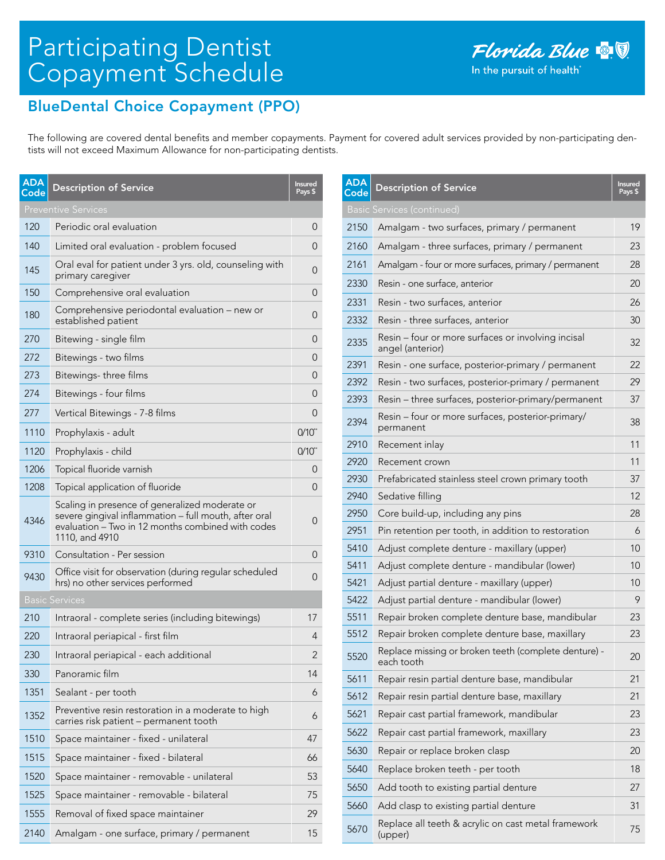# Participating Dentist Copayment Schedule

## BlueDental Choice Copayment (PPO)

The following are covered dental benefits and member copayments. Payment for covered adult services provided by non-participating dentists will not exceed Maximum Allowance for non-participating dentists.

| <b>ADA</b><br>Code | <b>Description of Service</b>                                                                                                                                                  | <b>Insured</b><br>Pays \$ |
|--------------------|--------------------------------------------------------------------------------------------------------------------------------------------------------------------------------|---------------------------|
|                    | <b>Preventive Services</b>                                                                                                                                                     |                           |
| 120                | Periodic oral evaluation                                                                                                                                                       | 0                         |
| 140                | Limited oral evaluation - problem focused                                                                                                                                      | 0                         |
| 145                | Oral eval for patient under 3 yrs. old, counseling with<br>primary caregiver                                                                                                   | 0                         |
| 150                | Comprehensive oral evaluation                                                                                                                                                  | 0                         |
| 180                | Comprehensive periodontal evaluation – new or<br>established patient                                                                                                           | 0                         |
| 270                | Bitewing - single film                                                                                                                                                         | 0                         |
| 272                | Bitewings - two films                                                                                                                                                          | 0                         |
| 273                | Bitewings-three films                                                                                                                                                          | 0                         |
| 274                | Bitewings - four films                                                                                                                                                         | 0                         |
| 277                | Vertical Bitewings - 7-8 films                                                                                                                                                 | 0                         |
| 1110               | Prophylaxis - adult                                                                                                                                                            | $0/10^{4}$                |
| 1120               | Prophylaxis - child                                                                                                                                                            | $0/10^{4}$                |
| 1206               | Topical fluoride varnish                                                                                                                                                       | 0                         |
| 1208               | Topical application of fluoride                                                                                                                                                | 0                         |
| 4346               | Scaling in presence of generalized moderate or<br>severe gingival inflammation - full mouth, after oral<br>evaluation - Two in 12 months combined with codes<br>1110, and 4910 | 0                         |
| 9310               | Consultation - Per session                                                                                                                                                     | 0                         |
| 9430               | Office visit for observation (during regular scheduled<br>hrs) no other services performed                                                                                     | 0                         |
|                    | <b>Basic Services</b>                                                                                                                                                          |                           |
| 210                | Intraoral - complete series (including bitewings)                                                                                                                              | 17                        |
| 220                | Intraoral periapical - first film                                                                                                                                              | 4                         |
| 230                | Intraoral periapical - each additional                                                                                                                                         | 2                         |
| 330                | Panoramic film                                                                                                                                                                 | 14                        |
| 1351               | Sealant - per tooth                                                                                                                                                            | 6                         |
| 1352               | Preventive resin restoration in a moderate to high<br>carries risk patient - permanent tooth                                                                                   | 6                         |
| 1510               | Space maintainer - fixed - unilateral                                                                                                                                          | 47                        |
| 1515               | Space maintainer - fixed - bilateral                                                                                                                                           | 66                        |
| 1520               | Space maintainer - removable - unilateral                                                                                                                                      | 53                        |
| 1525               | Space maintainer - removable - bilateral                                                                                                                                       | 75                        |
| 1555               | Removal of fixed space maintainer                                                                                                                                              | 29                        |
| 2140               | Amalgam - one surface, primary / permanent                                                                                                                                     | 15                        |

| <b>ADA</b><br>Code | <b>Description of Service</b>                                          | <b>Insured</b><br>Pays \$ |
|--------------------|------------------------------------------------------------------------|---------------------------|
|                    | <b>Basic Services (continued)</b>                                      |                           |
| 2150               | Amalgam - two surfaces, primary / permanent                            | 19                        |
| 2160               | Amalgam - three surfaces, primary / permanent                          | 23                        |
| 2161               | Amalgam - four or more surfaces, primary / permanent                   | 28                        |
| 2330               | Resin - one surface, anterior                                          | 20                        |
| 2331               | Resin - two surfaces, anterior                                         | 26                        |
| 2332               | Resin - three surfaces, anterior                                       | 30                        |
| 2335               | Resin - four or more surfaces or involving incisal<br>angel (anterior) | 32                        |
| 2391               | Resin - one surface, posterior-primary / permanent                     | 22                        |
| 2392               | Resin - two surfaces, posterior-primary / permanent                    | 29                        |
| 2393               | Resin - three surfaces, posterior-primary/permanent                    | 37                        |
| 2394               | Resin - four or more surfaces, posterior-primary/<br>permanent         | 38                        |
| 2910               | Recement inlay                                                         | 11                        |
| 2920               | Recement crown                                                         | 11                        |
| 2930               | Prefabricated stainless steel crown primary tooth                      | 37                        |
| 2940               | Sedative filling                                                       | 12                        |
| 2950               | Core build-up, including any pins                                      | 28                        |
| 2951               | Pin retention per tooth, in addition to restoration                    | 6                         |
| 5410               | Adjust complete denture - maxillary (upper)                            | 10                        |
| 5411               | Adjust complete denture - mandibular (lower)                           | 10                        |
| 5421               | Adjust partial denture - maxillary (upper)                             | 10                        |
| 5422               | Adjust partial denture - mandibular (lower)                            | 9                         |
| 5511               | Repair broken complete denture base, mandibular                        | 23                        |
| 5512               | Repair broken complete denture base, maxillary                         | 23                        |
| 5520               | Replace missing or broken teeth (complete denture) -<br>each tooth     | 20                        |
| 5611               | Repair resin partial denture base, mandibular                          | 21                        |
| 5612               | Repair resin partial denture base, maxillary                           | 21                        |
| 5621               | Repair cast partial framework, mandibular                              | 23                        |
| 5622               | Repair cast partial framework, maxillary                               | 23                        |
| 5630               | Repair or replace broken clasp                                         | 20                        |
| 5640               | Replace broken teeth - per tooth                                       | 18                        |
| 5650               | Add tooth to existing partial denture                                  | 27                        |
| 5660               | Add clasp to existing partial denture                                  | 31                        |
| 5670               | Replace all teeth & acrylic on cast metal framework<br>(upper)         | 75                        |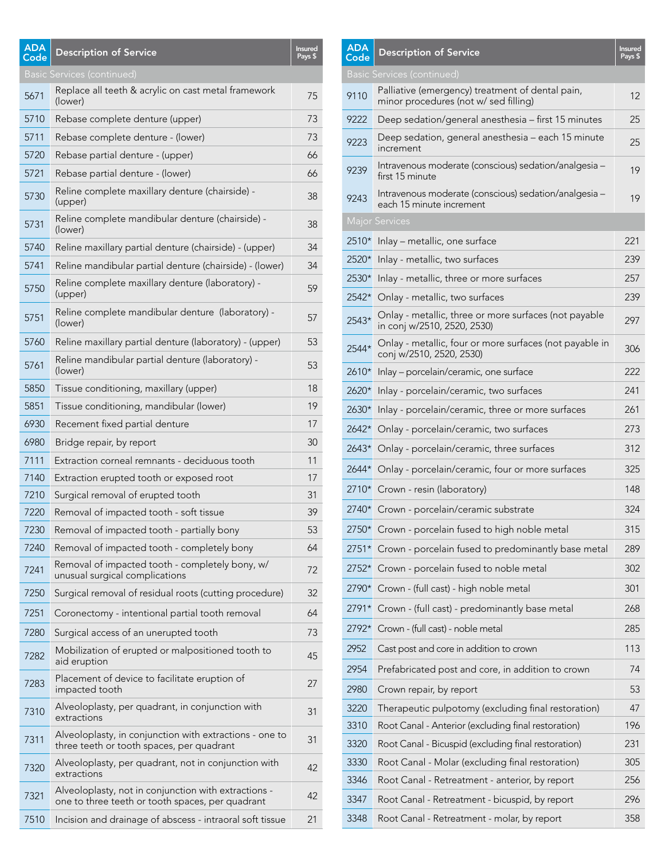# <sup>5671</sup> Replace all teeth & acrylic on cast metal framework (lower) <sup>75</sup> 5710 Rebase complete denture (upper) 73 5711 Rebase complete denture - (lower) 73 5720 Rebase partial denture - (upper) 66 5721 Rebase partial denture - (lower) 66 <sup>5730</sup> Reline complete maxillary denture (chairside) - (upper) <sup>38</sup> <sup>5731</sup> Reline complete mandibular denture (chairside) - (lower) <sup>38</sup> 5740 Reline maxillary partial denture (chairside) - (upper) 34 5741 Reline mandibular partial denture (chairside) - (lower) 34 5750 Reline complete maxillary denture (laboratory) - 59<br>(upper) <sup>5751</sup> Reline complete mandibular denture (laboratory) - (lower) <sup>57</sup> 5760 Reline maxillary partial denture (laboratory) - (upper) 53 <sup>5761</sup> Reline mandibular partial denture (laboratory) - (lower) <sup>53</sup> 5850 Tissue conditioning, maxillary (upper) 18 5851 Tissue conditioning, mandibular (lower) 19 6930 Recement fixed partial denture 17 6980 Bridge repair, by report 30 7111 Extraction corneal remnants - deciduous tooth 11 7140 Extraction erupted tooth or exposed root 17 7210 Surgical removal of erupted tooth 31 7220 Removal of impacted tooth - soft tissue 39 7230 Removal of impacted tooth - partially bony 53 7240 Removal of impacted tooth - completely bony 64 7241 Removal of impacted tooth - completely bony, w/ Removal of impacted toom - completely bony, w/ 32<br>unusual surgical complications 7250 Surgical removal of residual roots (cutting procedure) 32 7251 Coronectomy - intentional partial tooth removal 64 7280 Surgical access of an unerupted tooth 73 7282 Mobilization of erupted or malpositioned tooth to  $45$ <br>aid eruption <sup>7283</sup> Placement of device to facilitate eruption of impacted tooth <sup>27</sup> 7310 Alveoloplasty, per quadrant, in conjunction with<br>extractions 7311 Alveoloplasty, in conjunction with extractions - one to Alveoloplasty, in conjunction with extractions - one to 31<br>three teeth or tooth spaces, per quadrant <sup>7320</sup> Alveoloplasty, per quadrant, not in conjunction with extractions <sup>42</sup> 7321 Alveoloplasty, not in conjunction with extractions -Alveolopiasty, not in conjunction with extractions - 42<br>one to three teeth or tooth spaces, per quadrant 7510 Incision and drainage of abscess - intraoral soft tissue 21 ADA<br>Code Description of Service Pays \$ Basic Services (continued)

## 9110 Palliative (emergency) treatment of dental pain, ramative (emergency) treatment of dental pain,<br>minor procedures (not w/ sed filling) 9222 Deep sedation/general anesthesia – first 15 minutes 25 <sup>9223</sup> Deep sedation, general anesthesia – each 15 minute increment <sup>25</sup> 9239 Intravenous moderate (conscious) sedation/analgesia – 19<br>first 15 minute <sup>9243</sup> Intravenous moderate (conscious) sedation/analgesia – Intravenous moderate (conscious) sedation/analgesid – 19<br>each 15 minute increment 2510\* Inlay – metallic, one surface 221 2520\* Inlay - metallic, two surfaces 239 2530\* Inlay - metallic, three or more surfaces 257 2542\* Onlay - metallic, two surfaces 239 2543\* Onlay - metallic, three or more surfaces (not payable Onlay - metallic, three of more surfaces (not payable  $297$ <br>in conj w/2510, 2520, 2530) 2544\* Onlay - metallic, four or more surfaces (not payable in Oniay - metallic, four of more surfaces (not payable in 306<br>conj w/2510, 2520, 2530) 2610\* Inlay – porcelain/ceramic, one surface 222 2620\* Inlay - porcelain/ceramic, two surfaces 241 2630\* Inlay - porcelain/ceramic, three or more surfaces 261 2642<sup>\*</sup> Onlay - porcelain/ceramic, two surfaces 273 2643\* Onlay - porcelain/ceramic, three surfaces 312 2644\* Onlay - porcelain/ceramic, four or more surfaces 325 2710\* Crown - resin (laboratory) 148 2740\* Crown - porcelain/ceramic substrate 324 2750\* Crown - porcelain fused to high noble metal 315 2751\* Crown - porcelain fused to predominantly base metal 289 2752\* Crown - porcelain fused to noble metal 302 2790\* Crown - (full cast) - high noble metal 301 2791\* Crown - (full cast) - predominantly base metal 268 2792\* Crown - (full cast) - noble metal 285 2952 Cast post and core in addition to crown 113 2954 Prefabricated post and core, in addition to crown 74 2980 Crown repair, by report 53 3220 Therapeutic pulpotomy (excluding final restoration) 47 3310 Root Canal - Anterior (excluding final restoration) 196 3320 Root Canal - Bicuspid (excluding final restoration) 231 3330 Root Canal - Molar (excluding final restoration) 305 3346 Root Canal - Retreatment - anterior, by report 256 3347 Root Canal - Retreatment - bicuspid, by report 296 3348 Root Canal - Retreatment - molar, by report 358 ADA<br>Code Description of Service Pays \$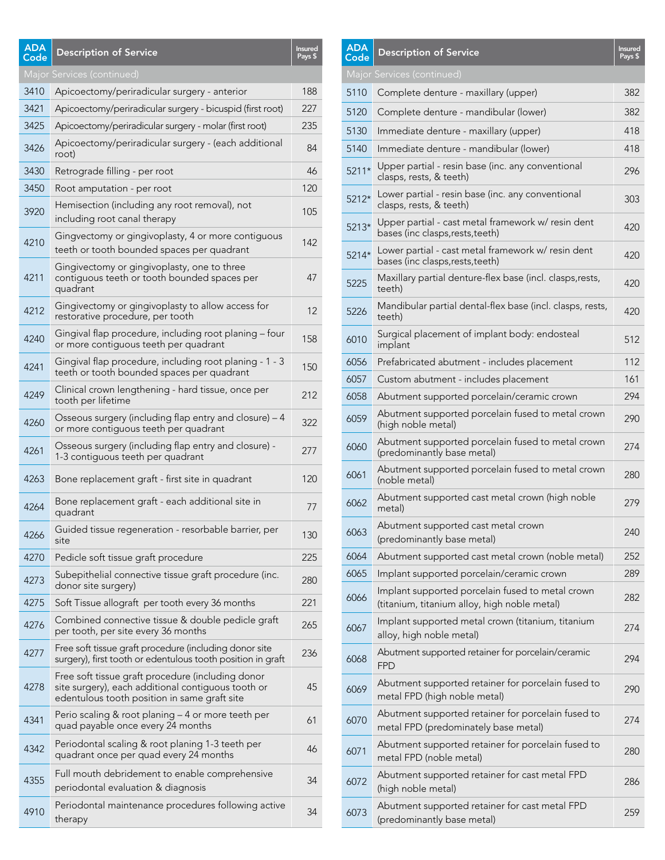| <b>ADA</b><br>Code         | <b>Description of Service</b>                                                                                                                           | <b>Insured</b><br>Pays \$ |  |
|----------------------------|---------------------------------------------------------------------------------------------------------------------------------------------------------|---------------------------|--|
| Major Services (continued) |                                                                                                                                                         |                           |  |
| 3410                       | Apicoectomy/periradicular surgery - anterior                                                                                                            | 188                       |  |
| 3421                       | Apicoectomy/periradicular surgery - bicuspid (first root)                                                                                               | 227                       |  |
| 3425                       | Apicoectomy/periradicular surgery - molar (first root)                                                                                                  | 235                       |  |
| 3426                       | Apicoectomy/periradicular surgery - (each additional<br>root)                                                                                           | 84                        |  |
| 3430                       | Retrograde filling - per root                                                                                                                           | 46                        |  |
| 3450                       | Root amputation - per root                                                                                                                              | 120                       |  |
| 3920                       | Hemisection (including any root removal), not<br>including root canal therapy                                                                           | 105                       |  |
| 4210                       | Gingvectomy or gingivoplasty, 4 or more contiguous<br>teeth or tooth bounded spaces per quadrant                                                        | 142                       |  |
| 4211                       | Gingivectomy or gingivoplasty, one to three<br>contiguous teeth or tooth bounded spaces per<br>quadrant                                                 | 47                        |  |
| 4212                       | Gingivectomy or gingivoplasty to allow access for<br>restorative procedure, per tooth                                                                   | 12                        |  |
| 4240                       | Gingival flap procedure, including root planing - four<br>or more contiguous teeth per quadrant                                                         | 158                       |  |
| 4241                       | Gingival flap procedure, including root planing - 1 - 3<br>teeth or tooth bounded spaces per quadrant                                                   | 150                       |  |
| 4249                       | Clinical crown lengthening - hard tissue, once per<br>tooth per lifetime                                                                                | 212                       |  |
| 4260                       | Osseous surgery (including flap entry and closure) - 4<br>or more contiguous teeth per quadrant                                                         | 322                       |  |
| 4261                       | Osseous surgery (including flap entry and closure) -<br>1-3 contiguous teeth per quadrant                                                               | 277                       |  |
| 4263                       | Bone replacement graft - first site in quadrant                                                                                                         | 120                       |  |
| 4264                       | Bone replacement graft - each additional site in<br>quadrant                                                                                            | 77                        |  |
| 4266                       | Guided tissue regeneration - resorbable barrier, per<br>site                                                                                            | 130                       |  |
| 4270                       | Pedicle soft tissue graft procedure                                                                                                                     | 225                       |  |
| 4273                       | Subepithelial connective tissue graft procedure (inc.<br>donor site surgery)                                                                            | 280                       |  |
| 4275                       | Soft Tissue allograft per tooth every 36 months                                                                                                         | 221                       |  |
| 4276                       | Combined connective tissue & double pedicle graft<br>per tooth, per site every 36 months                                                                | 265                       |  |
| 4277                       | Free soft tissue graft procedure (including donor site<br>surgery), first tooth or edentulous tooth position in graft                                   | 236                       |  |
| 4278                       | Free soft tissue graft procedure (including donor<br>site surgery), each additional contiguous tooth or<br>edentulous tooth position in same graft site | 45                        |  |
| 4341                       | Perio scaling & root planing - 4 or more teeth per<br>quad payable once every 24 months                                                                 | 61                        |  |
| 4342                       | Periodontal scaling & root planing 1-3 teeth per<br>quadrant once per quad every 24 months                                                              | 46                        |  |
| 4355                       | Full mouth debridement to enable comprehensive<br>periodontal evaluation & diagnosis                                                                    | 34                        |  |
| 4910                       | Periodontal maintenance procedures following active<br>therapy                                                                                          | 34                        |  |

| <b>ADA</b><br>Code | <b>Description of Service</b>                                                                    | Insured<br>Pays \$ |
|--------------------|--------------------------------------------------------------------------------------------------|--------------------|
|                    | Major Services (continued)                                                                       |                    |
| 5110               | Complete denture - maxillary (upper)                                                             | 382                |
| 5120               | Complete denture - mandibular (lower)                                                            | 382                |
| 5130               | Immediate denture - maxillary (upper)                                                            | 418                |
| 5140               | Immediate denture - mandibular (lower)                                                           | 418                |
| 5211*              | Upper partial - resin base (inc. any conventional<br>clasps, rests, & teeth)                     | 296                |
| 5212*              | Lower partial - resin base (inc. any conventional<br>clasps, rests, & teeth)                     | 303                |
| 5213*              | Upper partial - cast metal framework w/ resin dent<br>bases (inc clasps, rests, teeth)           | 420                |
| 5214*              | Lower partial - cast metal framework w/ resin dent<br>bases (inc clasps, rests, teeth)           | 420                |
| 5225               | Maxillary partial denture-flex base (incl. clasps, rests,<br>teeth)                              | 420                |
| 5226               | Mandibular partial dental-flex base (incl. clasps, rests,<br>teeth)                              | 420                |
| 6010               | Surgical placement of implant body: endosteal<br>implant                                         | 512                |
| 6056               | Prefabricated abutment - includes placement                                                      | 112                |
| 6057               | Custom abutment - includes placement                                                             | 161                |
| 6058               | Abutment supported porcelain/ceramic crown                                                       | 294                |
| 6059               | Abutment supported porcelain fused to metal crown<br>(high noble metal)                          | 290                |
| 6060               | Abutment supported porcelain fused to metal crown<br>(predominantly base metal)                  | 274                |
| 6061               | Abutment supported porcelain fused to metal crown<br>(noble metal)                               | 280                |
| 6062               | Abutment supported cast metal crown (high noble<br>metal)                                        | 279                |
| 6063               | Abutment supported cast metal crown<br>(predominantly base metal)                                | 240                |
| 6064               | Abutment supported cast metal crown (noble metal)                                                | 252                |
| 6065               | Implant supported porcelain/ceramic crown                                                        | 289                |
| 6066               | Implant supported porcelain fused to metal crown<br>(titanium, titanium alloy, high noble metal) | 282                |
| 6067               | Implant supported metal crown (titanium, titanium<br>alloy, high noble metal)                    | 274                |
| 6068               | Abutment supported retainer for porcelain/ceramic<br><b>FPD</b>                                  | 294                |
| 6069               | Abutment supported retainer for porcelain fused to<br>metal FPD (high noble metal)               | 290                |
| 6070               | Abutment supported retainer for porcelain fused to<br>metal FPD (predominately base metal)       | 274                |
| 6071               | Abutment supported retainer for porcelain fused to<br>metal FPD (noble metal)                    | 280                |
| 6072               | Abutment supported retainer for cast metal FPD<br>(high noble metal)                             | 286                |
| 6073               | Abutment supported retainer for cast metal FPD<br>(predominantly base metal)                     | 259                |
|                    |                                                                                                  |                    |